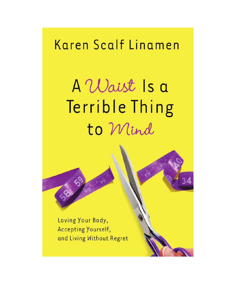## Karen Scalf Linamen

# A Waist Is a Terrible Thing to Mind

Loving Your Body, Accepting Yourself, and Living Without Regret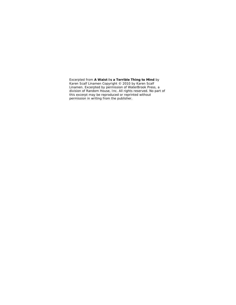Excerpted from **A Waist Is a Terrible Thing to Mind** by Karen Scalf Linamen Copyright © 2010 by Karen Scalf Linamen. Excerpted by permission of WaterBrook Press, a division of Random House, Inc. All rights reserved. No part of this excerpt may be reproduced or reprinted without permission in writing from the publisher.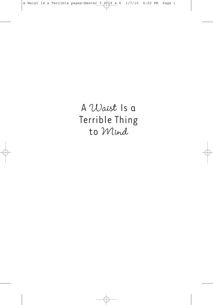A Waist Is a Terrible Thing to Mind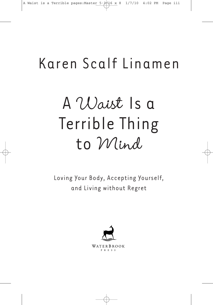## Karen Scalf Linamen

## A Waist Is a Terrible Thing to Mind

Loving Your Body, Accepting Yourself, and Living without Regret

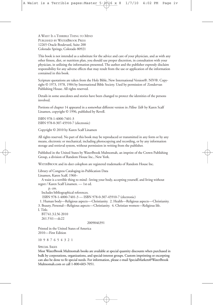A WAIST IS A TERRIBLE THING TO MIND PUBLISHED BY WATERBROOK PRESS 12265 Oracle Boulevard, Suite 200 Colorado Springs, Colorado 80921

This book is not intended as a substitute for the advice and care of your physician, and as with any other fitness, diet, or nutrition plan, you should use proper discretion, in consultation with your physician, in utilizing the information presented. The author and the publisher expressly disclaim responsibility for any adverse effects that may result from the use or application of the information contained in this book.

Scripture quotations are taken from the Holy Bible, New International Version®. NIV®. Copyright © 1973, 1978, 1984 by International Bible Society. Used by permission of Zondervan Publishing House. All rights reserved.

Details in some anecdotes and stories have been changed to protect the identities of the persons involved.

Portions of chapter 14 appeared in a somewhat different version in *Pillow Talk* by Karen Scalf Linamen, copyright © 1996, published by Revell.

ISBN 978-1-4000-7401-3 ISBN 978-0-307-45910-7 (electronic)

Copyright © 2010 by Karen Scalf Linamen

All rights reserved. No part of this book may be reproduced or transmitted in any form or by any means, electronic or mechanical, including photocopying and recording, or by any information storage and retrieval system, without permission in writing from the publisher.

Published in the United States by WaterBrook Multnomah, an imprint of the Crown Publishing Group, a division of Random House Inc., New York.

WATERBROOK and its deer colophon are registered trademarks of Random House Inc.

Library of Congress Cataloging-in-Publication Data

Linamen, Karen Scalf, 1960–

A waist is a terrible thing to mind : loving your body, accepting yourself, and living without regret / Karen Scalf Linamen. — 1st ed.

p. cm.

Includes bibliographical references.

ISBN 978-1-4000-7401-3 — ISBN 978-0-307-45910-7 (electronic)

1. Human body—Religious aspects—Christianity. 2. Health—Religious aspects—Christianity. 3. Beauty, Personal—Religious aspects—Christianity. 4. Christian women—Religious life.

I. Title.

BT741.3.L56 2010 261.5'61—dc22

#### 2009046391

Printed in the United States of America 2010—First Edition

10 9 8 7 6 5 4 3 2 1

SPECIAL SALES

Most WaterBrook Multnomah books are available at special quantity discounts when purchased in bulk by corporations, organizations, and special-interest groups. Custom imprinting or excerpting can also be done to fit special needs. For information, please e-mail SpecialMarkets@WaterBrook Multnomah.com or call 1-800-603-7051.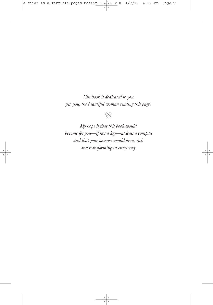*This book is dedicated to you, yes, you, the beautiful woman reading this page.*

 $\frac{25}{205}$ 

*My hope is that this book would become for you—if not a key—at least a compass and that your journey would prove rich and transforming in every way.*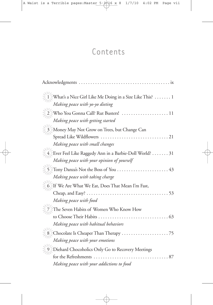## Contents

| Vhat's a Nice Girl Like Me Doing in a Size Like This? 1<br>Making peace with yo-yo dieting                                                                                            |    |
|---------------------------------------------------------------------------------------------------------------------------------------------------------------------------------------|----|
| 2 Who You Gonna Call? Rut Busters!  11<br>Making peace with getting started                                                                                                           |    |
| Money May Not Grow on Trees, but Change Can<br>Making peace with small changes                                                                                                        |    |
| 4 Ever Feel Like Raggedy Ann in a Barbie-Doll World? 31<br>Making peace with your opinion of yourself                                                                                 |    |
| Making peace with taking charge                                                                                                                                                       |    |
| 6 If We Are What We Eat, Does That Mean I'm Fast,<br>Cheap, and Easy? $\ldots \ldots \ldots \ldots \ldots \ldots \ldots \ldots \ldots \ldots \ldots \ldots$<br>Making peace with food |    |
| The Seven Habits of Women Who Know How<br>Making peace with habitual behaviors                                                                                                        |    |
| Making peace with your emotions                                                                                                                                                       |    |
| Diehard Chocoholics Only Go to Recovery Meetings<br>for the Refreshments<br>Making peace with your addictions to food                                                                 | 87 |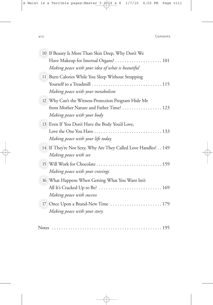| 10 If Beauty Is More Than Skin Deep, Why Don't We<br>Making peace with your idea of what is beautiful                                                                                                 |
|-------------------------------------------------------------------------------------------------------------------------------------------------------------------------------------------------------|
| 11 Burn Calories While You Sleep Without Strapping<br>Yourself to a Treadmill $\ldots \ldots \ldots \ldots \ldots \ldots \ldots \ldots \ldots \ldots \ldots 115$<br>Making peace with your metabolism |
| 12 Why Can't the Witness-Protection Program Hide Me<br>from Mother Nature and Father Time?  123<br>Making peace with your body                                                                        |
| 13 Even If You Don't Have the Body You'd Love,<br>Making peace with your life today                                                                                                                   |
| 14 If They're Not Sexy, Why Are They Called Love Handles? 149<br>Making peace with sex                                                                                                                |
| Making peace with your cravings                                                                                                                                                                       |
| 16 What Happens When Getting What You Want Isn't<br>Making peace with success                                                                                                                         |
| 17 Once Upon a Brand-New Time  179<br>Making peace with your story                                                                                                                                    |
|                                                                                                                                                                                                       |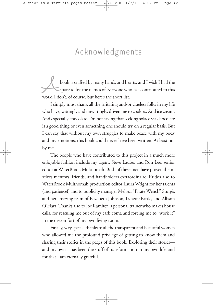### Acknowledgments

book is crafted by many hands and hearts, and I wish I had the space to list the names of everyone who has contributed to this work. I don't, of course, but here's the short list.

I simply must thank all the irritating and/or clueless folks in my life who have, wittingly and unwittingly, driven meto cookies. And ice cream. And especially chocolate. I'm not saying that seeking solace via chocolate is a good thing or even something one should try on a regular basis. But I can say that without my own struggles to make peace with my body and my emotions, this book could never have been written. At least not by me.

The people who have contributed to this project in a much more enjoyable fashion include my agent, Steve Laube, and Ron Lee, senior editor at WaterBrook Multnomah. Both of these men have proven themselves mentors, friends, and handholders extraordinaire. Kudos also to WaterBrook Multnomah production editor Laura Wright for her talents (and patience!) and to publicity manager Melissa "Pirate Wench" Sturgis and her amazing team of Elizabeth Johnson, Lynette Kittle, and Allison O'Hara.Thanks also to Joe Ramirez, a personal trainer who makes house calls, for rescuing me out of my carb coma and forcing me to "work it" in the discomfort of my own living room.

Finally, very special thanks to all the transparent and beautiful women who allowed me the profound privilege of getting to know them and sharing their stories in the pages of this book. Exploring their stories and my own—has been the stuff of transformation in my own life, and for that I am eternally grateful.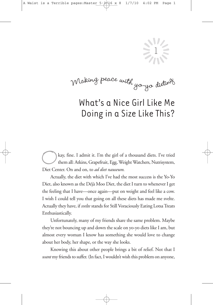$\frac{2}{3}$   $\frac{1}{3}$ 

<sup>M</sup>ak<sup>i</sup>n<sup>g</sup> <sup>p</sup><sup>e</sup>ac<sup>e</sup> <sup>w</sup>it<sup>h</sup> <sup>y</sup><sup>o</sup>-y<sup>o</sup> <sup>d</sup>i<sup>e</sup>ti<sup>n</sup><sup>g</sup>

## What's a Nice GirlLike Me Doing in a Size Like This?

kay, fine. I admit it. I'm the girl of a thousand diets. I've tried them all: Atkins, Grapefruit, Egg, Weight Watchers, Nutrisystem, Diet Center. On and on, to *ad diet nauseum*. them all: Atkins, Grapefruit, Egg, Weight Watchers, Nutrisystem, Diet Center. On and on, to *ad diet nauseum.*

Actually, the diet with which I've had the most success is the Yo-Yo Diet, also known as the Déjà Moo Diet, the diet I turn to whenever I get the feeling that I have—once again—put on weight and feel like a cow. I wish I could tell you that going on all these diets has made me svelte. Actually they have, if *svelte* stands for Still Voraciously Eating Lotsa Treats Enthusiastically.

Unfortunately, many of my friends share the same problem. Maybe they're not bouncing up and down the scale on yo-yo diets like I am, but almost every woman I know has something she would love to change about her body, her shape, or the way she looks.

Knowing this about other people brings a bit of relief. Not that I *want* my friends to suffer. (In fact, I wouldn't wish this problem on anyone,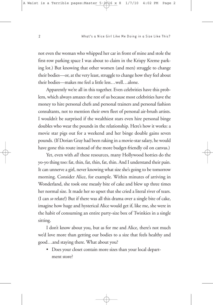not even the woman who whipped her car in front of mine and stole the first-row parking space I was about to claim in the Krispy Kreme parking lot.) But knowing that other women (and men) struggle to change their bodies—or, at the very least, struggle to change how they feel about their bodies—makes me feel a little less…well…alone.

Apparently we're all in this together. Even celebrities have this problem, which always amazes the rest of us because most celebrities have the money to hire personal chefs and personal trainers and personal fashion consultants, not to mention their own fleet of personal air-brush artists. I wouldn't be surprised if the wealthiest stars even hire personal binge doubles who wear the pounds in the relationship. Here's how it works: a movie star pigs out for a weekend and her binge double gains seven pounds. (If Dorian Gray had been raking in a movie-star salary, he would have gone this route instead of the more budget-friendly oil on canvas.)

Yet, even with *all* these resources, many Hollywood hotties do the yo-yo thing too: fat, thin, fat, thin, fat, thin. And I understand their pain. It can unnerve a girl, never knowing what size she's going to be tomorrow morning. Consider Alice, for example. Within minutes of arriving in Wonderland, she took one measly bite of cake and blew up three times her normal size. It made her so upset that she cried a literal river of tears. (I can *so* relate!) But if there was all this drama over a single bite of cake, imagine how huge and hysterical Alice would get if, like me, she were in the habit of consuming an entire party-size box of Twinkies in a single sitting.

I don't know about you, but as for me and Alice, there's not much we'd love more than getting our bodies to a size that feels healthy and good…and staying there. What about you?

• Does your closet contain more sizes than your local department store?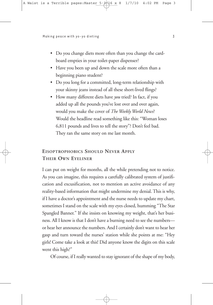- Do you change diets more often than you change the cardboard empties in your toilet-paper dispenser?
- Have you been up and down the scale more often than a beginning piano student?
- Do you long for a committed, long-term relationship with your skinny jeans instead of all these short-lived flings?
- How many different diets have *you* tried? In fact, if you added up all the pounds you've lost over and over again, would you make the cover of *The Weekly World News*? Would the headline read something like this: "Woman loses 6,811 pounds and lives to tell the story"? Don't feel bad. They ran the same story on me last month.

### **EISOPTROPHOBICS SHOULD NEVER APPLY THEIR OWN EYELINER**

I can put on weight for months, all the while pretending not to notice. As you can imagine, this requires a carefully calibrated system of justification and excusification, not to mention an active avoidance of any reality-based information that might undermine my denial. This is why, if I have a doctor's appointment and the nurse needs to update my chart, sometimes I stand on the scale with my eyes closed, humming "The Star Spangled Banner." If she insists on knowing my weight, that's her business. All I know is that I don't have a burning need to seethe numbers or hear her announce the numbers. And I certainly don't want to hear her gasp and turn toward the nurses' station while she points at me: "Hey girls! Come take a look at this! Did anyone know the digits on this scale went this high?"

Of course, if I really wanted to stay ignorant of the shape of my body,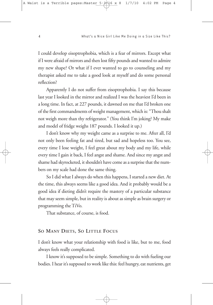I could develop eisoptrophobia, which is a fear of mirrors. Except what if I were afraid of mirrors and then lost fifty pounds and wanted to admire my new shape? Or what if I ever wanted to go to counseling and my therapist asked me to take a good look at myself and do some personal reflection?

Apparently I do not suffer from eisoptrophobia. I say this because last year I looked in the mirror and realized I was the heaviest I'd been in a long time. In fact, at 227 pounds, it dawned on me that I'd broken one of the first commandments of weight management, which is: "Thou shalt not weigh more than thy refrigerator." (You think I'm joking? My make and model of fridge weighs 187 pounds. I looked it up.)

I don't know why my weight came as a surprise to me. After all, I'd not only been feeling fat and tired, but sad and hopeless too. You see, every time I lose weight, I feel great about my body and my life, while every time I gain it back, I feel angst and shame. And since my angst and shame had skyrocketed, it shouldn't have come as a surprise that the numbers on my scale had done the same thing.

So I did what I always do when this happens, I started a new diet. At the time, this always seems like a good idea. And it probably would be a good idea if dieting didn't require the mastery of a particular substance that may seem simple, but in reality is about as simple as brain surgery or programming the TiVo.

That substance, of course, is food.

### **SO MANY DIETS, SO LITTLE FOCUS**

I don't know what your relationship with food is like, but to me, food always feels really complicated.

I know it's supposed to be simple. Something to do with fueling our bodies. I hear it's supposed to work like this: feel hungry, eat nutrients, get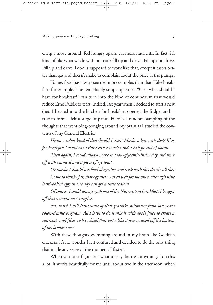energy, move around, feel hungry again, eat more nutrients. In fact, it's kind of like what we do with our cars: fill up and drive. Fill up and drive. Fill up and drive. Food is supposed to work like that, except it tastes better than gas and doesn't make us complain about the price at the pumps.

To me, food has always seemed more complex than that.Take breakfast, for example. The remarkably simple question "Gee, what should I have for breakfast?" can turn into the kind of conundrum that would reduce Ernö Rubik to tears. Indeed, last year when I decided to start a new diet, I headed into the kitchen for breakfast, opened the fridge, and true to form—felt a surge of panic. Here is a random sampling of the thoughts that went ping-ponging around my brain as I studied the contents of my General Electric:

*Hmm…what kind of diet should I start? Maybe a low-carb diet? If so, for breakfast I could eat a three-cheese omelet and a half pound of bacon.*

*Then again, I could always make it a low-glycemic-index day and start off with oatmeal and a piece of rye toast.*

*Or maybe I should nix food altogether and stick with diet drinks all day. Come to think of it, that egg diet worked well for me once, although nine hard-boiled eggs in one day can get a little tedious.*

*Of course, I could alwaysgrab one of the Nutrisystem breakfasts I bought off that woman on Craigslist.*

*No, wait! I still have some of that grasslike substance from last year's colon-cleanse program. All I have to do is mix it with apple juice to create a nutrient- and fiber-rich cocktail that tastes like it was scraped off the bottom of my lawnmower.*

With these thoughts swimming around in my brain like Goldfish crackers, it's no wonder I felt confused and decided to do the only thing that made any sense at the moment: I fasted.

When you can't figure out what to eat, don't eat anything. I do this a lot. It works beautifully for me until about two in the afternoon, when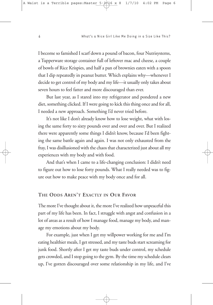I become so famished I scarf down a pound of bacon, four Nutrisystems, a Tupperware storage container full of leftover mac and cheese, a couple of bowls of Rice Krispies, and half a pan of brownies eaten with a spoon that I dip repeatedly in peanut butter. Which explains why—whenever I decide to get control of my body and my life—it usually only takes about seven hours to feel fatter and more discouraged than ever.

But last year, as I stared into my refrigerator and pondered a new diet, something clicked. If I were going to kick this thing once and for all, I needed a new approach. Something I'd never tried before.

It's not like I don't already know how to lose weight, what with losing the same forty to sixty pounds over and over and over. But I realized there were apparently some things I didn't know, because I'd been fighting the same battle again and again. I was not only exhausted from the fray, I was disillusioned with the chaos that characterized just about all my experiences with my body and with food.

And that's when I came to a life-changing conclusion: I didn't need to figure out how to lose forty pounds. What I really needed was to figure out how to make peace with my body once and for all.

#### **THE ODDS AREN'T EXACTLY IN OUR FAVOR**

The more I've thought about it, the more I've realized how unpeaceful this part of my life has been. In fact, I struggle with angst and confusion in a lot of areas as a result of how I manage food, manage my body, and manage my emotions about my body.

For example, just when I get my willpower working for me and I'm eating healthier meals, I get stressed, and my taste buds start screaming for junk food. Shortly after I get my taste buds under control, my schedule gets crowded, and I stop going to the gym. By the time my schedule clears up, I've gotten discouraged over some relationship in my life, and I've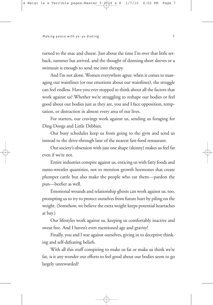turned to the mac and cheese. Just about the time I'm over that little setback, summer has arrived, and the thought of donning short sleeves or a swimsuit is enough to send me into therapy.

And I'm not alone.Women everywhere agree: when it comes to managing our waistlines (or our emotions about our waistlines), the struggle can feel endless. Have you ever stopped to think about all the factors that work against us? Whether we're struggling to reshape our bodies or feel good about our bodies just as they are, you and I face opposition, temptation, or distraction in almost every area of our lives.

For starters, our cravings work against us, sending us foraging for Ding Dongs and Little Debbies.

Our busy schedules keep us from going to the gym and send us instead to the drive-through lane of the nearest fast-food restaurant.

Our society's obsession with just oneshape(skinny) makes us feel fat even if we're not.

Entire industries conspire against us, enticing us with fatty foods and sumo-wrestler quantities, not to mention growth hormones that create plumper cattle but also make the people who eat them—pardon the pun—beefier as well.

Emotional wounds and relationship ghosts can work against us, too, prompting us to try to protect ourselves from future hurt by piling on the weight. (Somehow, we believe the extra weight keeps potential heartaches at bay.)

Our lifestyles work against us, keeping us comfortably inactive and sweat free. And I haven't even mentioned age and gravity!

Finally, you and I war against ourselves, giving in to deceptive thinking and self-defeating beliefs.

With all this stuff conspiring to make us fat or make us think we're fat, is it any wonder our efforts to feel good about our bodies seem to go largely unrewarded?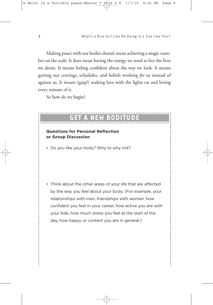**GET A NEW BODITUDE**

Making peace with our bodies doesn't mean achieving a magic number on the scale. It does mean having the energy we need to live the lives we desire. It means feeling confident about the way we look. It means getting our cravings, schedules, and beliefs working *for* us instead of against us. It means (gasp!) making love with the lights on and loving every minute of it.

So how do we begin?

#### **Questions for Personal Reflection or Group Discussion**

• Do you like your body? Why or why not?

• Think about the other areas of your life that are affected by the way you feel about your body. (For example, your relationships with men, friendships with women, how confident you feel in your career, how active you are with your kids, how much stress you feel at the start of the day, how happy or content you are in general.)